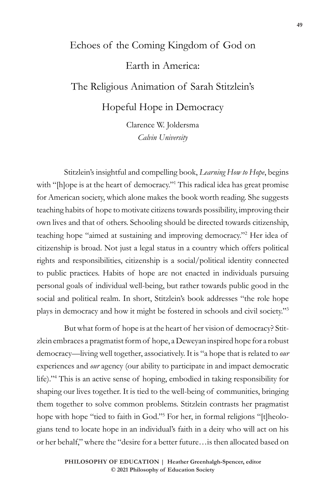## Echoes of the Coming Kingdom of God on Earth in America: The Religious Animation of Sarah Stitzlein's

Hopeful Hope in Democracy

Clarence W. Joldersma *Calvin University*

Stitzlein's insightful and compelling book, *Learning How to Hope*, begins with "[h]ope is at the heart of democracy."1 This radical idea has great promise for American society, which alone makes the book worth reading. She suggests teaching habits of hope to motivate citizens towards possibility, improving their own lives and that of others. Schooling should be directed towards citizenship, teaching hope "aimed at sustaining and improving democracy."2 Her idea of citizenship is broad. Not just a legal status in a country which offers political rights and responsibilities, citizenship is a social/political identity connected to public practices. Habits of hope are not enacted in individuals pursuing personal goals of individual well-being, but rather towards public good in the social and political realm. In short, Stitzlein's book addresses "the role hope plays in democracy and how it might be fostered in schools and civil society."3

But what form of hope is at the heart of her vision of democracy? Stitzlein embraces a pragmatist form of hope, a Deweyan inspired hope for a robust democracy—living well together, associatively. It is "a hope that is related to *our* experiences and *our* agency (our ability to participate in and impact democratic life)."4 This is an active sense of hoping, embodied in taking responsibility for shaping our lives together. It is tied to the well-being of communities, bringing them together to solve common problems. Stitzlein contrasts her pragmatist hope with hope "tied to faith in God."5 For her, in formal religions "[t]heologians tend to locate hope in an individual's faith in a deity who will act on his or her behalf," where the "desire for a better future…is then allocated based on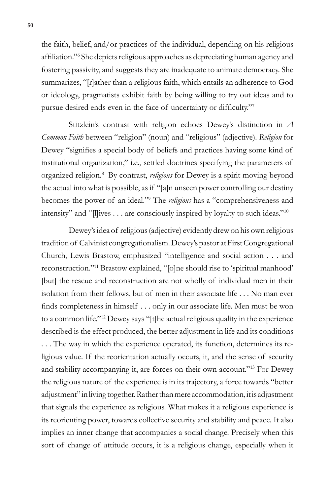the faith, belief, and/or practices of the individual, depending on his religious affiliation."<sup>6</sup> She depicts religious approaches as depreciating human agency and fostering passivity, and suggests they are inadequate to animate democracy. She summarizes, "[r]ather than a religious faith, which entails an adherence to God or ideology, pragmatists exhibit faith by being willing to try out ideas and to pursue desired ends even in the face of uncertainty or difficulty."<sup>7</sup>

Stitzlein's contrast with religion echoes Dewey's distinction in *A Common Faith* between "religion" (noun) and "religious" (adjective)*. Religion* for Dewey "signifies a special body of beliefs and practices having some kind of institutional organization," i.e., settled doctrines specifying the parameters of organized religion.8 By contrast, *religious* for Dewey is a spirit moving beyond the actual into what is possible, as if "[a]n unseen power controlling our destiny becomes the power of an ideal."9 The *religious* has a "comprehensiveness and intensity" and "[l]ives . . . are consciously inspired by loyalty to such ideas."10

Dewey's idea of religious (adjective) evidently drew on his own religious tradition of Calvinist congregationalism. Dewey's pastor at First Congregational Church, Lewis Brastow, emphasized "intelligence and social action . . . and reconstruction."11 Brastow explained, "[o]ne should rise to 'spiritual manhood' [but] the rescue and reconstruction are not wholly of individual men in their isolation from their fellows, but of men in their associate life . . . No man ever finds completeness in himself . . . only in our associate life. Men must be won to a common life."12 Dewey says "[t]he actual religious quality in the experience described is the effect produced, the better adjustment in life and its conditions . . . The way in which the experience operated, its function, determines its religious value. If the reorientation actually occurs, it, and the sense of security and stability accompanying it, are forces on their own account."13 For Dewey the religious nature of the experience is in its trajectory, a force towards "better adjustment" in living together. Rather than mere accommodation, it is adjustment that signals the experience as religious. What makes it a religious experience is its reorienting power, towards collective security and stability and peace. It also implies an inner change that accompanies a social change. Precisely when this sort of change of attitude occurs, it is a religious change, especially when it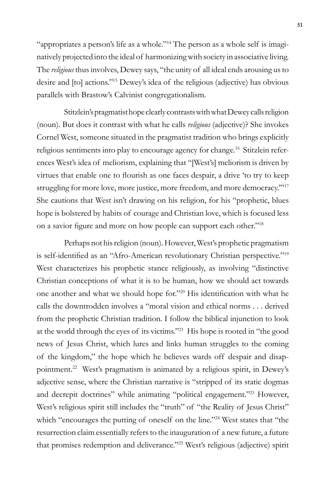"appropriates a person's life as a whole."14 The person as a whole self is imaginatively projected into the ideal of harmonizing with society in associative living. The *religious* thus involves, Dewey says, "the unity of all ideal ends arousing us to desire and [to] actions."15 Dewey's idea of the religious (adjective) has obvious parallels with Brastow's Calvinist congregationalism.

Stitzlein's pragmatist hope clearly contrasts with what Dewey calls religion (noun). But does it contrast with what he calls *religious* (adjective)? She invokes Cornel West, someone situated in the pragmatist tradition who brings explicitly religious sentiments into play to encourage agency for change.16 Stitzlein references West's idea of meliorism, explaining that "[West's] meliorism is driven by virtues that enable one to flourish as one faces despair, a drive 'to try to keep struggling for more love, more justice, more freedom, and more democracy."<sup>17</sup> She cautions that West isn't drawing on his religion, for his "prophetic, blues hope is bolstered by habits of courage and Christian love, which is focused less on a savior figure and more on how people can support each other."<sup>18</sup>

Perhaps not his religion (noun). However, West's prophetic pragmatism is self-identified as an "Afro-American revolutionary Christian perspective."<sup>19</sup> West characterizes his prophetic stance religiously, as involving "distinctive Christian conceptions of what it is to be human, how we should act towards one another and what we should hope for."20 His identification with what he calls the downtrodden involves a "moral vision and ethical norms . . . derived from the prophetic Christian tradition. I follow the biblical injunction to look at the world through the eyes of its victims."21 His hope is rooted in "the good news of Jesus Christ, which lures and links human struggles to the coming of the kingdom," the hope which he believes wards off despair and disappointment.22 West's pragmatism is animated by a religious spirit, in Dewey's adjective sense, where the Christian narrative is "stripped of its static dogmas and decrepit doctrines" while animating "political engagement."23 However, West's religious spirit still includes the "truth" of "the Reality of Jesus Christ" which "encourages the putting of oneself on the line."<sup>24</sup> West states that "the resurrection claim essentially refers to the inauguration of a new future, a future that promises redemption and deliverance."25 West's religious (adjective) spirit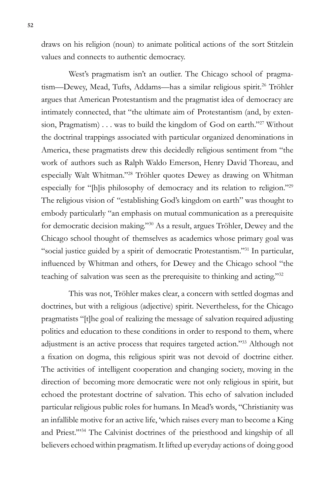draws on his religion (noun) to animate political actions of the sort Stitzlein values and connects to authentic democracy.

West's pragmatism isn't an outlier. The Chicago school of pragmatism—Dewey, Mead, Tufts, Addams—has a similar religious spirit.<sup>26</sup> Tröhler argues that American Protestantism and the pragmatist idea of democracy are intimately connected, that "the ultimate aim of Protestantism (and, by extension, Pragmatism) . . . was to build the kingdom of God on earth."27 Without the doctrinal trappings associated with particular organized denominations in America, these pragmatists drew this decidedly religious sentiment from "the work of authors such as Ralph Waldo Emerson, Henry David Thoreau, and especially Walt Whitman."28 Tröhler quotes Dewey as drawing on Whitman especially for "[h]is philosophy of democracy and its relation to religion."29 The religious vision of "establishing God's kingdom on earth" was thought to embody particularly "an emphasis on mutual communication as a prerequisite for democratic decision making."30 As a result, argues Tröhler, Dewey and the Chicago school thought of themselves as academics whose primary goal was "social justice guided by a spirit of democratic Protestantism."31 In particular, influenced by Whitman and others, for Dewey and the Chicago school "the teaching of salvation was seen as the prerequisite to thinking and acting."32

This was not, Tröhler makes clear, a concern with settled dogmas and doctrines, but with a religious (adjective) spirit. Nevertheless, for the Chicago pragmatists "[t]he goal of realizing the message of salvation required adjusting politics and education to these conditions in order to respond to them, where adjustment is an active process that requires targeted action."33 Although not a fixation on dogma, this religious spirit was not devoid of doctrine either. The activities of intelligent cooperation and changing society, moving in the direction of becoming more democratic were not only religious in spirit, but echoed the protestant doctrine of salvation. This echo of salvation included particular religious public roles for humans. In Mead's words, "Christianity was an infallible motive for an active life, 'which raises every man to become a King and Priest.'"34 The Calvinist doctrines of the priesthood and kingship of all believers echoed within pragmatism. It lifted up everyday actions of doing good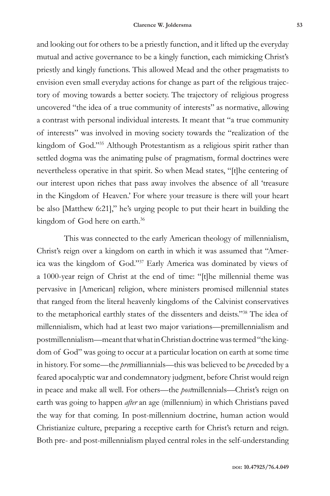and looking out for others to be a priestly function, and it lifted up the everyday mutual and active governance to be a kingly function, each mimicking Christ's priestly and kingly functions. This allowed Mead and the other pragmatists to envision even small everyday actions for change as part of the religious trajectory of moving towards a better society. The trajectory of religious progress uncovered "the idea of a true community of interests" as normative, allowing a contrast with personal individual interests. It meant that "a true community of interests" was involved in moving society towards the "realization of the kingdom of God."35 Although Protestantism as a religious spirit rather than settled dogma was the animating pulse of pragmatism, formal doctrines were nevertheless operative in that spirit. So when Mead states, "[t]he centering of our interest upon riches that pass away involves the absence of all 'treasure in the Kingdom of Heaven.' For where your treasure is there will your heart be also [Matthew 6:21]," he's urging people to put their heart in building the kingdom of God here on earth.<sup>36</sup>

This was connected to the early American theology of millennialism, Christ's reign over a kingdom on earth in which it was assumed that "America was the kingdom of God."37 Early America was dominated by views of a 1000-year reign of Christ at the end of time: "[t]he millennial theme was pervasive in [American] religion, where ministers promised millennial states that ranged from the literal heavenly kingdoms of the Calvinist conservatives to the metaphorical earthly states of the dissenters and deists."38 The idea of millennialism, which had at least two major variations—premillennialism and postmillennialism—meant that what in Christian doctrine was termed "the kingdom of God" was going to occur at a particular location on earth at some time in history. For some—the *pre*milliannials—this was believed to be *pre*ceded by a feared apocalyptic war and condemnatory judgment, before Christ would reign in peace and make all well. For others—the *post*millennials—Christ's reign on earth was going to happen *after* an age (millennium) in which Christians paved the way for that coming. In post-millennium doctrine, human action would Christianize culture, preparing a receptive earth for Christ's return and reign. Both pre- and post-millennialism played central roles in the self-understanding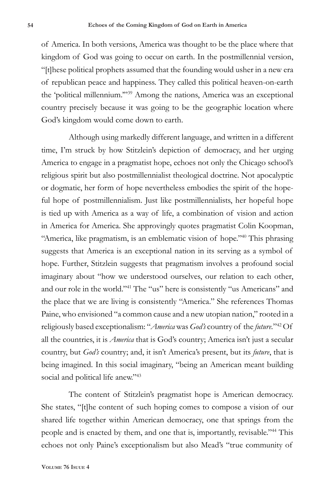of America. In both versions, America was thought to be the place where that kingdom of God was going to occur on earth. In the postmillennial version, "[t]hese political prophets assumed that the founding would usher in a new era of republican peace and happiness. They called this political heaven-on-earth the 'political millennium.'"39 Among the nations, America was an exceptional country precisely because it was going to be the geographic location where God's kingdom would come down to earth.

Although using markedly different language, and written in a different time, I'm struck by how Stitzlein's depiction of democracy, and her urging America to engage in a pragmatist hope, echoes not only the Chicago school's religious spirit but also postmillennialist theological doctrine. Not apocalyptic or dogmatic, her form of hope nevertheless embodies the spirit of the hopeful hope of postmillennialism. Just like postmillennialists, her hopeful hope is tied up with America as a way of life, a combination of vision and action in America for America. She approvingly quotes pragmatist Colin Koopman, "America, like pragmatism, is an emblematic vision of hope."40 This phrasing suggests that America is an exceptional nation in its serving as a symbol of hope. Further, Stitzlein suggests that pragmatism involves a profound social imaginary about "how we understood ourselves, our relation to each other, and our role in the world."41 The "us" here is consistently "us Americans" and the place that we are living is consistently "America." She references Thomas Paine, who envisioned "a common cause and a new utopian nation," rooted in a religiously based exceptionalism: "*America* was *God's* country of the *future.*"42 Of all the countries, it is *America* that is God's country; America isn't just a secular country, but *God's* country; and, it isn't America's present, but its *future*, that is being imagined. In this social imaginary, "being an American meant building social and political life anew."<sup>43</sup>

The content of Stitzlein's pragmatist hope is American democracy. She states, "[t]he content of such hoping comes to compose a vision of our shared life together within American democracy, one that springs from the people and is enacted by them, and one that is, importantly, revisable."44 This echoes not only Paine's exceptionalism but also Mead's "true community of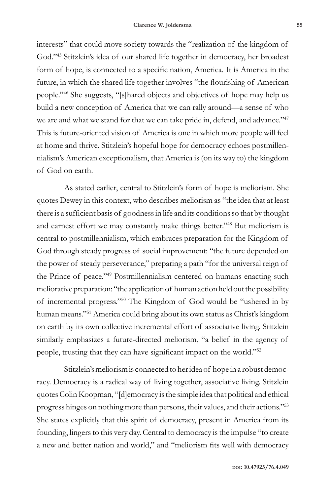interests" that could move society towards the "realization of the kingdom of God."45 Stitzlein's idea of our shared life together in democracy, her broadest form of hope, is connected to a specific nation, America. It is America in the future, in which the shared life together involves "the flourishing of American people."46 She suggests, "[s]hared objects and objectives of hope may help us build a new conception of America that we can rally around—a sense of who we are and what we stand for that we can take pride in, defend, and advance."<sup>47</sup> This is future-oriented vision of America is one in which more people will feel at home and thrive. Stitzlein's hopeful hope for democracy echoes postmillennialism's American exceptionalism, that America is (on its way to) the kingdom of God on earth.

As stated earlier, central to Stitzlein's form of hope is meliorism. She quotes Dewey in this context, who describes meliorism as "the idea that at least there is a sufficient basis of goodness in life and its conditions so that by thought and earnest effort we may constantly make things better."48 But meliorism is central to postmillennialism, which embraces preparation for the Kingdom of God through steady progress of social improvement: "the future depended on the power of steady perseverance," preparing a path "for the universal reign of the Prince of peace."49 Postmillennialism centered on humans enacting such meliorative preparation: "the application of human action held out the possibility of incremental progress."50 The Kingdom of God would be "ushered in by human means."51 America could bring about its own status as Christ's kingdom on earth by its own collective incremental effort of associative living. Stitzlein similarly emphasizes a future-directed meliorism, "a belief in the agency of people, trusting that they can have significant impact on the world."<sup>52</sup>

Stitzlein's meliorism is connected to her idea of hope in a robust democracy. Democracy is a radical way of living together, associative living. Stitzlein quotes Colin Koopman, "[d]emocracy is the simple idea that political and ethical progress hinges on nothing more than persons, their values, and their actions."53 She states explicitly that this spirit of democracy, present in America from its founding, lingers to this very day. Central to democracy is the impulse "to create a new and better nation and world," and "meliorism fits well with democracy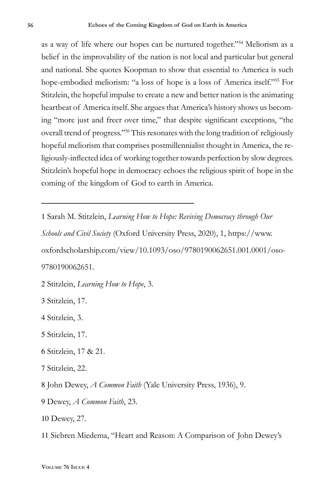as a way of life where our hopes can be nurtured together."54 Meliorism as a belief in the improvability of the nation is not local and particular but general and national. She quotes Koopman to show that essential to America is such hope-embodied meliorism: "a loss of hope is a loss of America itself."55 For Stitzlein, the hopeful impulse to create a new and better nation is the animating heartbeat of America itself. She argues that America's history shows us becoming "more just and freer over time," that despite significant exceptions, "the overall trend of progress."56 This resonates with the long tradition of religiously hopeful meliorism that comprises postmillennialist thought in America, the religiously-inflected idea of working together towards perfection by slow degrees. Stitzlein's hopeful hope in democracy echoes the religious spirit of hope in the coming of the kingdom of God to earth in America.

1 Sarah M. Stitzlein, *Learning How to Hope: Reviving Democracy through Our* 

*Schools and Civil Society* (Oxford University Press, 2020), 1, https://www. oxfordscholarship.com/view/10.1093/oso/9780190062651.001.0001/oso-9780190062651.

2 Stitzlein, *Learning How to Hope*, 3.

3 Stitzlein, 17.

4 Stitzlein, 3.

- 5 Stitzlein, 17.
- 6 Stitzlein, 17 & 21.
- 7 Stitzlein, 22.

8 John Dewey, *A Common Faith* (Yale University Press, 1936), 9.

- 9 Dewey, *A Common Faith*, 23.
- 10 Dewey, 27.
- 11 Siebren Miedema, "Heart and Reason: A Comparison of John Dewey's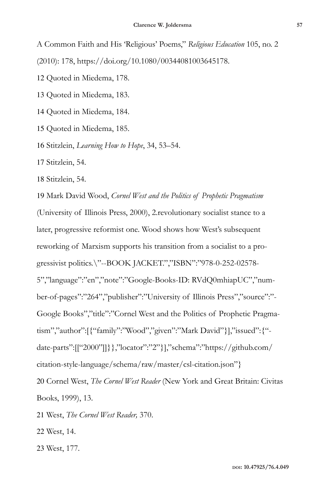A Common Faith and His 'Religious' Poems," *Religious Education* 105, no. 2 (2010): 178, https://doi.org/10.1080/00344081003645178.

12 Quoted in Miedema, 178.

13 Quoted in Miedema, 183.

14 Quoted in Miedema, 184.

15 Quoted in Miedema, 185.

16 Stitzlein, *Learning How to Hope*, 34, 53–54.

17 Stitzlein, 54.

18 Stitzlein, 54.

19 Mark David Wood, *Cornel West and the Politics of Prophetic Pragmatism* (University of Illinois Press, 2000), 2.revolutionary socialist stance to a later, progressive reformist one. Wood shows how West's subsequent reworking of Marxism supports his transition from a socialist to a progressivist politics.\"--BOOK JACKET.","ISBN":"978-0-252-02578- 5","language":"en","note":"Google-Books-ID: RVdQ0mhiapUC","number-of-pages":"264","publisher":"University of Illinois Press","source":"- Google Books","title":"Cornel West and the Politics of Prophetic Pragmatism","author":[{"family":"Wood","given":"Mark David"}],"issued":{" date-parts":[["2000"]]}},"locator":"2"}],"schema":"https://github.com/ citation-style-language/schema/raw/master/csl-citation.json"} 20 Cornel West, *The Cornel West Reader* (New York and Great Britain: Civitas

Books, 1999), 13.

21 West, *The Cornel West Reader,* 370.

22 West, 14.

23 West, 177.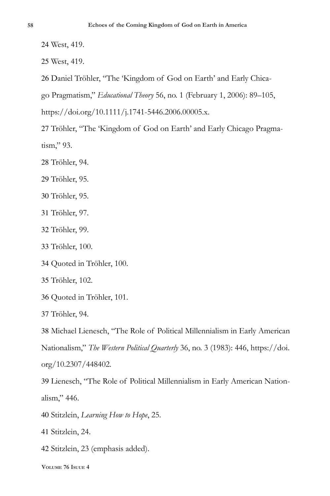West, 419.

West, 419.

Daniel Tröhler, "The 'Kingdom of God on Earth' and Early Chica-

go Pragmatism," *Educational Theory* 56, no. 1 (February 1, 2006): 89–105,

https://doi.org/10.1111/j.1741-5446.2006.00005.x.

 Tröhler, "The 'Kingdom of God on Earth' and Early Chicago Pragmatism," 93.

Tröhler, 94.

Tröhler, 95.

Tröhler, 95.

Tröhler, 97.

Tröhler, 99.

Tröhler, 100.

Quoted in Tröhler, 100.

Tröhler, 102.

Quoted in Tröhler, 101.

Tröhler, 94.

 Michael Lienesch, "The Role of Political Millennialism in Early American Nationalism," *The Western Political Quarterly* 36, no. 3 (1983): 446, https://doi. org/10.2307/448402.

 Lienesch, "The Role of Political Millennialism in Early American Nationalism," 446.

Stitzlein, *Learning How to Hope*, 25.

Stitzlein, 24.

Stitzlein, 23 (emphasis added).

**Volume 76 Isuue 4**